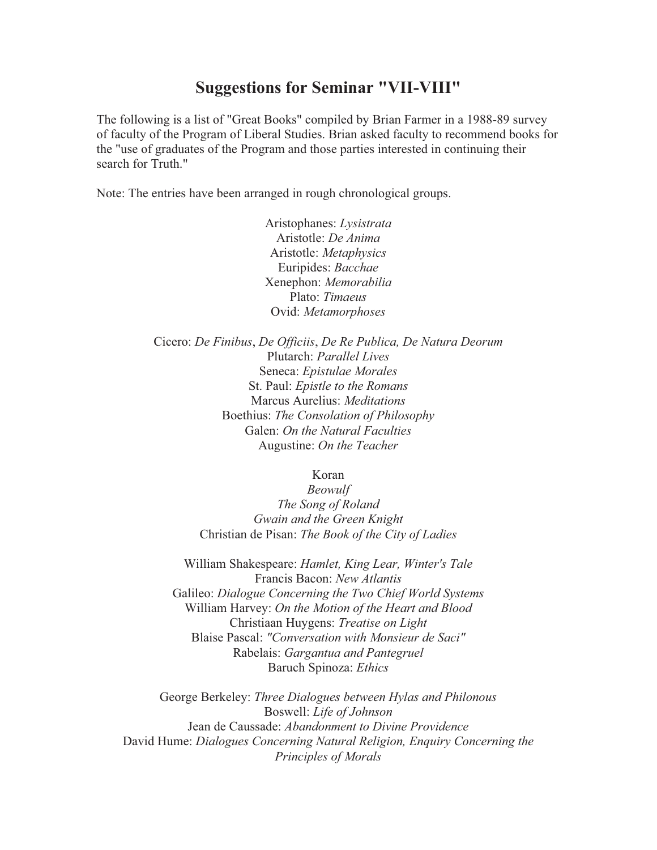## **Suggestions for Seminar "VII-VIII"**

The following is a list of "Great Books" compiled by Brian Farmer in a 1988-89 survey of faculty of the Program of Liberal Studies. Brian asked faculty to recommend books for the "use of graduates of the Program and those parties interested in continuing their search for Truth."

Note: The entries have been arranged in rough chronological groups.

Aristophanes: *Lysistrata* Aristotle: *De Anima* Aristotle: *Metaphysics* Euripides: *Bacchae* Xenephon: *Memorabilia* Plato: *Timaeus* Ovid: *Metamorphoses*

Cicero: *De Finibus*, *De Officiis*, *De Re Publica, De Natura Deorum* Plutarch: *Parallel Lives* Seneca: *Epistulae Morales* St. Paul: *Epistle to the Romans* Marcus Aurelius: *Meditations* Boethius: *The Consolation of Philosophy*  Galen: *On the Natural Faculties*  Augustine: *On the Teacher*

Koran

*Beowulf The Song of Roland Gwain and the Green Knight*  Christian de Pisan: *The Book of the City of Ladies*

William Shakespeare: *Hamlet, King Lear, Winter's Tale* Francis Bacon: *New Atlantis* Galileo: *Dialogue Concerning the Two Chief World Systems* William Harvey: *On the Motion of the Heart and Blood* Christiaan Huygens: *Treatise on Light* Blaise Pascal: *"Conversation with Monsieur de Saci"* Rabelais: *Gargantua and Pantegruel* Baruch Spinoza: *Ethics*

George Berkeley: *Three Dialogues between Hylas and Philonous*  Boswell: *Life of Johnson* Jean de Caussade: *Abandonment to Divine Providence* David Hume: *Dialogues Concerning Natural Religion, Enquiry Concerning the Principles of Morals*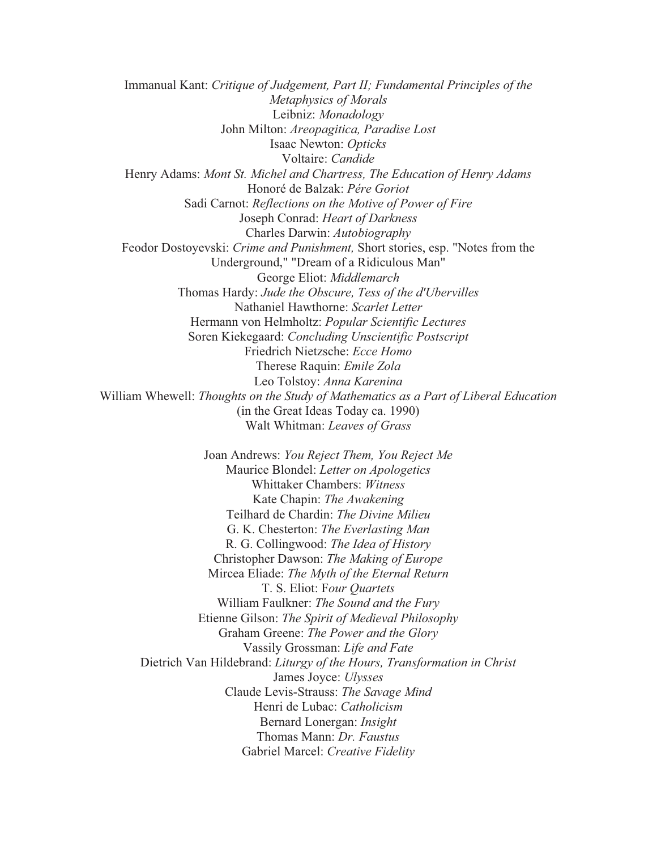Immanual Kant: *Critique of Judgement, Part II; Fundamental Principles of the Metaphysics of Morals* Leibniz: *Monadology* John Milton: *Areopagitica, Paradise Lost* Isaac Newton: *Opticks* Voltaire: *Candide* Henry Adams: *Mont St. Michel and Chartress, The Education of Henry Adams*  Honoré de Balzak: *Pére Goriot* Sadi Carnot: *Reflections on the Motive of Power of Fire* Joseph Conrad: *Heart of Darkness* Charles Darwin: *Autobiography* Feodor Dostoyevski: *Crime and Punishment,* Short stories, esp. "Notes from the Underground," "Dream of a Ridiculous Man" George Eliot: *Middlemarch* Thomas Hardy: *Jude the Obscure, Tess of the d'Ubervilles* Nathaniel Hawthorne: *Scarlet Letter* Hermann von Helmholtz: *Popular Scientific Lectures* Soren Kiekegaard: *Concluding Unscientific Postscript* Friedrich Nietzsche: *Ecce Homo* Therese Raquin: *Emile Zola* Leo Tolstoy: *Anna Karenina* William Whewell: *Thoughts on the Study of Mathematics as a Part of Liberal Education*  (in the Great Ideas Today ca. 1990) Walt Whitman: *Leaves of Grass* Joan Andrews: *You Reject Them, You Reject Me* Maurice Blondel: *Letter on Apologetics* Whittaker Chambers: *Witness* Kate Chapin: *The Awakening*  Teilhard de Chardin: *The Divine Milieu* G. K. Chesterton: *The Everlasting Man* R. G. Collingwood: *The Idea of History* Christopher Dawson: *The Making of Europe* Mircea Eliade: *The Myth of the Eternal Return*  T. S. Eliot: F*our Quartets* William Faulkner: *The Sound and the Fury* Etienne Gilson: *The Spirit of Medieval Philosophy* Graham Greene: *The Power and the Glory* Vassily Grossman: *Life and Fate* Dietrich Van Hildebrand: *Liturgy of the Hours, Transformation in Christ* James Joyce: *Ulysses* Claude Levis-Strauss: *The Savage Mind*

Henri de Lubac: *Catholicism* Bernard Lonergan: *Insight* Thomas Mann: *Dr. Faustus*

Gabriel Marcel: *Creative Fidelity*